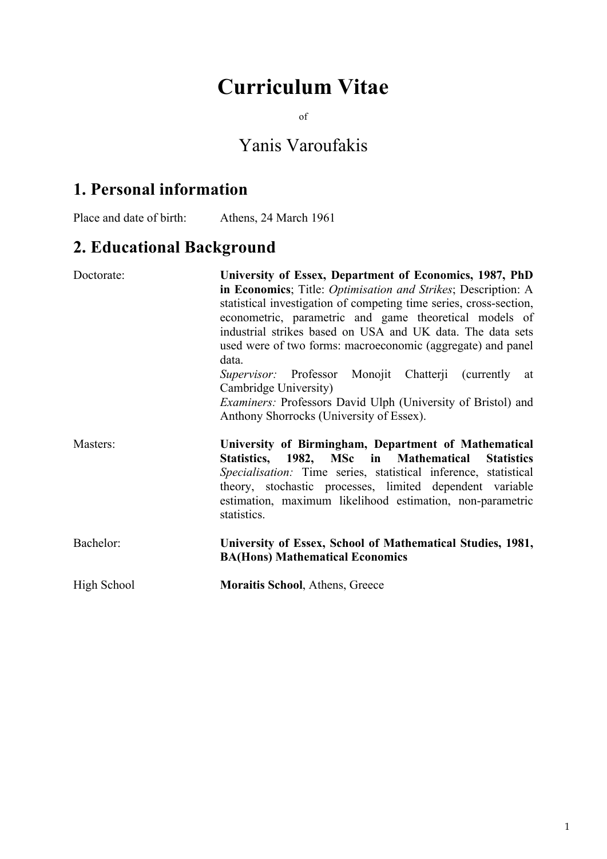# **Curriculum Vitae**

of

# Yanis Varoufakis

# **1. Personal information**

Place and date of birth: Athens, 24 March 1961

# **2. Educational Background**

| Doctorate:  | University of Essex, Department of Economics, 1987, PhD<br>in Economics; Title: Optimisation and Strikes; Description: A<br>statistical investigation of competing time series, cross-section,<br>econometric, parametric and game theoretical models of<br>industrial strikes based on USA and UK data. The data sets<br>used were of two forms: macroeconomic (aggregate) and panel<br>data.<br>Supervisor: Professor Monojit Chatterji (currently at<br>Cambridge University)<br><i>Examiners:</i> Professors David Ulph (University of Bristol) and<br>Anthony Shorrocks (University of Essex). |  |  |  |  |
|-------------|-----------------------------------------------------------------------------------------------------------------------------------------------------------------------------------------------------------------------------------------------------------------------------------------------------------------------------------------------------------------------------------------------------------------------------------------------------------------------------------------------------------------------------------------------------------------------------------------------------|--|--|--|--|
| Masters:    | University of Birmingham, Department of Mathematical<br>Statistics, 1982, MSc in Mathematical Statistics<br>Specialisation: Time series, statistical inference, statistical<br>theory, stochastic processes, limited dependent variable<br>estimation, maximum likelihood estimation, non-parametric<br>statistics.                                                                                                                                                                                                                                                                                 |  |  |  |  |
| Bachelor:   | University of Essex, School of Mathematical Studies, 1981,<br><b>BA(Hons) Mathematical Economics</b>                                                                                                                                                                                                                                                                                                                                                                                                                                                                                                |  |  |  |  |
| High School | <b>Moraitis School, Athens, Greece</b>                                                                                                                                                                                                                                                                                                                                                                                                                                                                                                                                                              |  |  |  |  |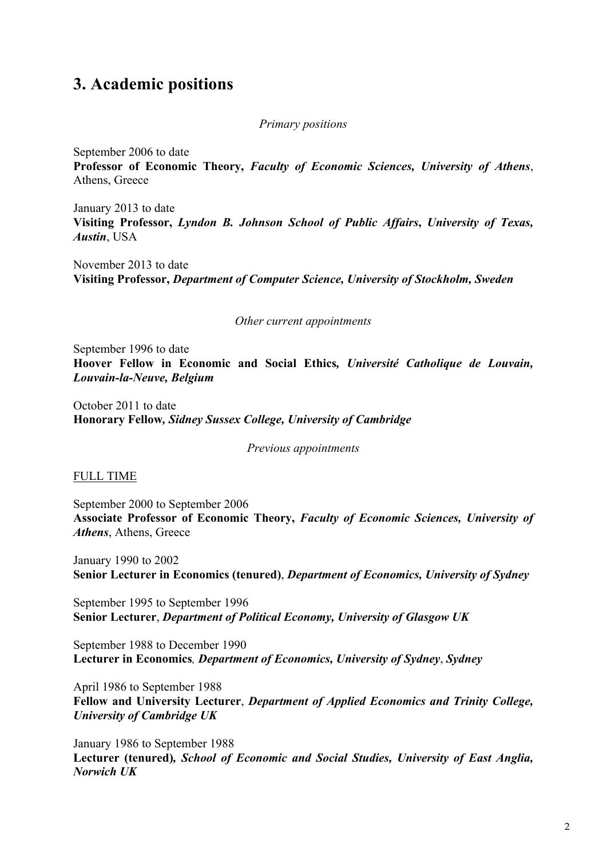## **3. Academic positions**

#### *Primary positions*

September 2006 to date

**Professor of Economic Theory,** *Faculty of Economic Sciences, University of Athens*, Athens, Greece

January 2013 to date **Visiting Professor,** *Lyndon B. Johnson School of Public Affairs***,** *University of Texas, Austin*, USA

November 2013 to date **Visiting Professor,** *Department of Computer Science, University of Stockholm, Sweden*

*Other current appointments*

September 1996 to date **Hoover Fellow in Economic and Social Ethics***, Université Catholique de Louvain, Louvain-la-Neuve, Belgium*

October 2011 to date **Honorary Fellow***, Sidney Sussex College, University of Cambridge*

*Previous appointments*

#### FULL TIME

September 2000 to September 2006 **Associate Professor of Economic Theory,** *Faculty of Economic Sciences, University of Athens*, Athens, Greece

January 1990 to 2002 **Senior Lecturer in Economics (tenured)**, *Department of Economics, University of Sydney*

September 1995 to September 1996 **Senior Lecturer**, *Department of Political Economy, University of Glasgow UK*

September 1988 to December 1990 **Lecturer in Economics***, Department of Economics, University of Sydney*, *Sydney*

April 1986 to September 1988 **Fellow and University Lecturer**, *Department of Applied Economics and Trinity College, University of Cambridge UK*

January 1986 to September 1988 **Lecturer (tenured)***, School of Economic and Social Studies, University of East Anglia, Norwich UK*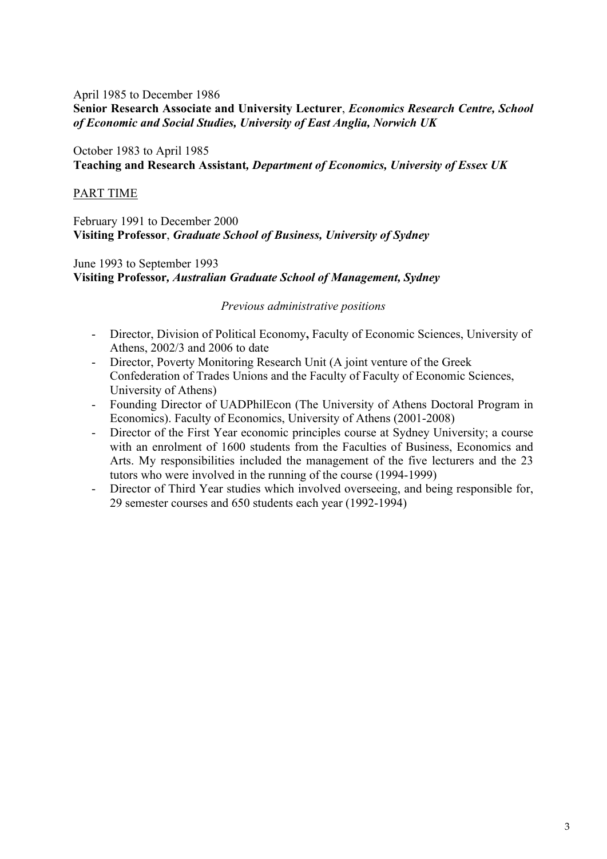#### April 1985 to December 1986 **Senior Research Associate and University Lecturer**, *Economics Research Centre, School of Economic and Social Studies, University of East Anglia, Norwich UK*

#### October 1983 to April 1985 **Teaching and Research Assistant***, Department of Economics, University of Essex UK*

#### PART TIME

February 1991 to December 2000 **Visiting Professor**, *Graduate School of Business, University of Sydney*

June 1993 to September 1993 **Visiting Professor***, Australian Graduate School of Management, Sydney*

*Previous administrative positions*

- Director, Division of Political Economy**,** Faculty of Economic Sciences, University of Athens, 2002/3 and 2006 to date
- Director, Poverty Monitoring Research Unit (A joint venture of the Greek Confederation of Trades Unions and the Faculty of Faculty of Economic Sciences, University of Athens)
- Founding Director of UADPhilEcon (The University of Athens Doctoral Program in Economics). Faculty of Economics, University of Athens (2001-2008)
- Director of the First Year economic principles course at Sydney University; a course with an enrolment of 1600 students from the Faculties of Business, Economics and Arts. My responsibilities included the management of the five lecturers and the 23 tutors who were involved in the running of the course (1994-1999)
- Director of Third Year studies which involved overseeing, and being responsible for, 29 semester courses and 650 students each year (1992-1994)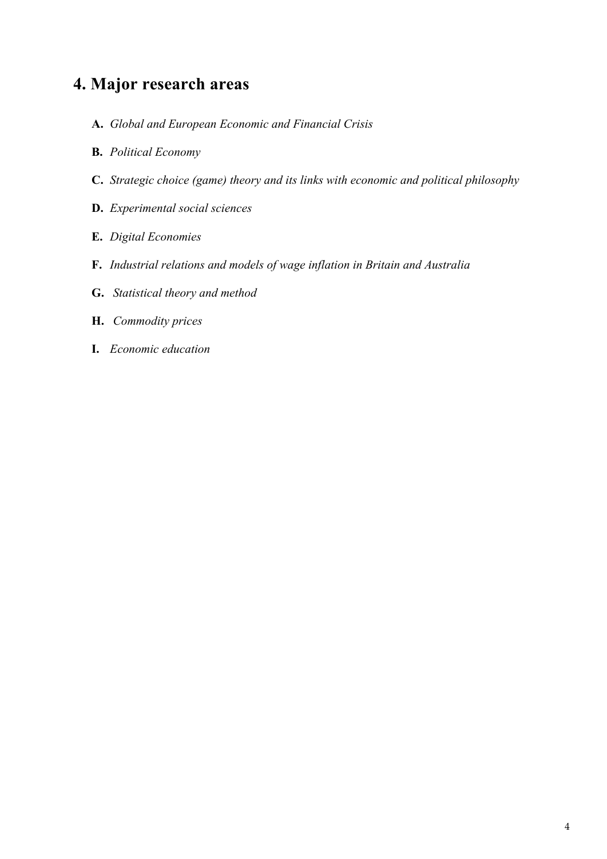# **4. Major research areas**

- **A.** *Global and European Economic and Financial Crisis*
- **B.** *Political Economy*
- **C.** *Strategic choice (game) theory and its links with economic and political philosophy*
- **D.** *Experimental social sciences*
- **E.** *Digital Economies*
- **F.** *Industrial relations and models of wage inflation in Britain and Australia*
- **G.** *Statistical theory and method*
- **H.** *Commodity prices*
- **I.** *Economic education*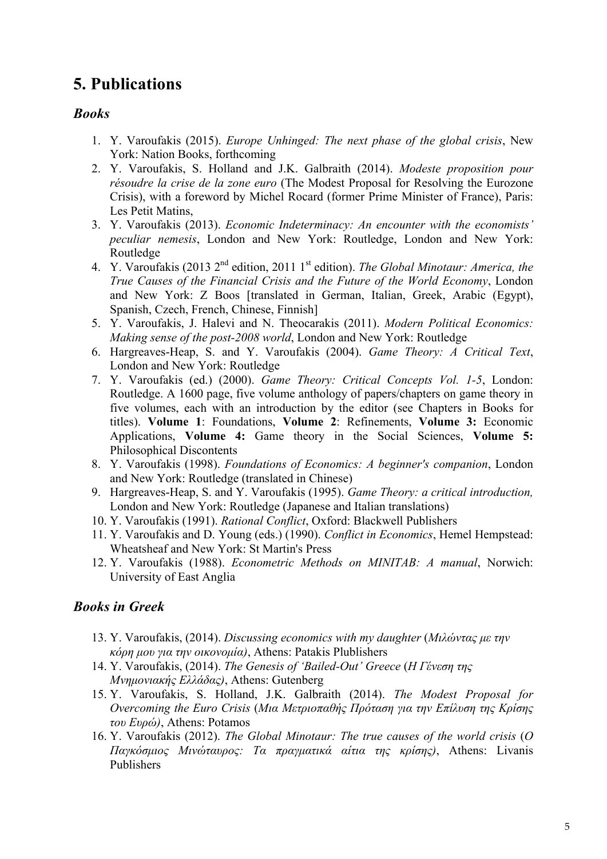# **5. Publications**

### *Books*

- 1. Y. Varoufakis (2015). *Europe Unhinged: The next phase of the global crisis*, New York: Nation Books, forthcoming
- 2. Y. Varoufakis, S. Holland and J.K. Galbraith (2014). *Modeste proposition pour résoudre la crise de la zone euro* (The Modest Proposal for Resolving the Eurozone Crisis), with a foreword by Michel Rocard (former Prime Minister of France), Paris: Les Petit Matins,
- 3. Y. Varoufakis (2013). *Economic Indeterminacy: An encounter with the economists' peculiar nemesis*, London and New York: Routledge, London and New York: Routledge
- 4. Y. Varoufakis (2013 2nd edition, 2011 1st edition). *The Global Minotaur: America, the True Causes of the Financial Crisis and the Future of the World Economy*, London and New York: Z Boos [translated in German, Italian, Greek, Arabic (Egypt), Spanish, Czech, French, Chinese, Finnish]
- 5. Y. Varoufakis, J. Halevi and N. Theocarakis (2011). *Modern Political Economics: Making sense of the post-2008 world*, London and New York: Routledge
- 6. Hargreaves-Heap, S. and Y. Varoufakis (2004). *Game Theory: A Critical Text*, London and New York: Routledge
- 7. Y. Varoufakis (ed.) (2000). *Game Theory: Critical Concepts Vol. 1-5*, London: Routledge. A 1600 page, five volume anthology of papers/chapters on game theory in five volumes, each with an introduction by the editor (see Chapters in Books for titles). **Volume 1**: Foundations, **Volume 2**: Refinements, **Volume 3:** Economic Applications, **Volume 4:** Game theory in the Social Sciences, **Volume 5:** Philosophical Discontents
- 8. Y. Varoufakis (1998). *Foundations of Economics: A beginner's companion*, London and New York: Routledge (translated in Chinese)
- 9. Hargreaves-Heap, S. and Y. Varoufakis (1995). *Game Theory: a critical introduction,*  London and New York: Routledge (Japanese and Italian translations)
- 10. Y. Varoufakis (1991). *Rational Conflict*, Oxford: Blackwell Publishers
- 11. Y. Varoufakis and D. Young (eds.) (1990). *Conflict in Economics*, Hemel Hempstead: Wheatsheaf and New York: St Martin's Press
- 12. Y. Varoufakis (1988). *Econometric Methods on MINITAB: A manual*, Norwich: University of East Anglia

### *Books in Greek*

- 13. Y. Varoufakis, (2014). *Discussing economics with my daughter* (*Μιλώντας µε την κόρη µου για την οικονοµία)*, Athens: Patakis Plublishers
- 14. Y. Varoufakis, (2014). *The Genesis of 'Bailed-Out' Greece* (*Η Γένεση της Μνηµονιακής Ελλάδας)*, Athens: Gutenberg
- 15. Y. Varoufakis, S. Holland, J.K. Galbraith (2014). *The Modest Proposal for Overcoming the Euro Crisis* (*Μια Μετριοπαθής Πρόταση για την Επίλυση της Κρίσης του Ευρώ)*, Athens: Potamos
- 16. Y. Varoufakis (2012). *The Global Minotaur: The true causes of the world crisis* (*Ο Παγκόσµιος Μινώταυρος: Τα πραγµατικά αίτια της κρίσης)*, Athens: Livanis Publishers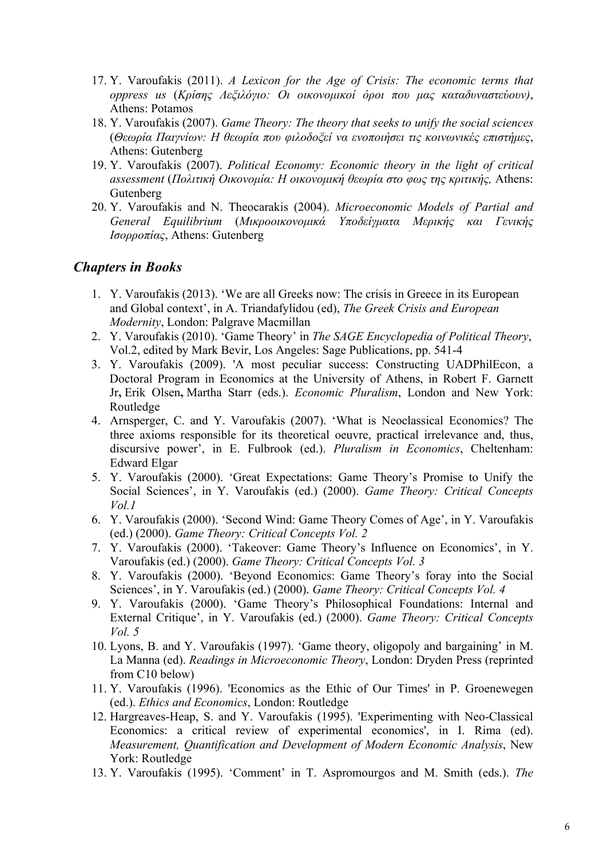- 17. Y. Varoufakis (2011). *A Lexicon for the Age of Crisis: The economic terms that oppress us* (*Κρίσης Λεξιλόγιο: Οι οικονοµικοί όροι που µας καταδυναστεύουν)*, Athens: Potamos
- 18. Y. Varoufakis (2007). *Game Theory: The theory that seeks to unify the social sciences* (*Θεωρία Παιγνίων: Η θεωρία που φιλοδοξεί να ενοποιήσει τις κοινωνικές επιστήµες*, Athens: Gutenberg
- 19. Y. Varoufakis (2007). *Political Economy: Economic theory in the light of critical assessment* (*Πολιτική Οικονοµία: Η οικονοµική θεωρία στο φως της κριτικής,* Athens: Gutenberg
- 20. Y. Varoufakis and N. Theocarakis (2004). *Microeconomic Models of Partial and General Equilibrium* (*Μικροοικονοµικά Υποδείγµατα Μερικής και Γενικής Ισορροπίας*, Athens: Gutenberg

### *Chapters in Books*

- 1. Y. Varoufakis (2013). 'We are all Greeks now: The crisis in Greece in its European and Global context', in A. Triandafylidou (ed), *The Greek Crisis and European Modernity*, London: Palgrave Macmillan
- 2. Y. Varoufakis (2010). 'Game Theory' in *The SAGE Encyclopedia of Political Theory*, Vol.2, edited by Mark Bevir, Los Angeles: Sage Publications, pp. 541-4
- 3. Y. Varoufakis (2009). 'A most peculiar success: Constructing UADPhilEcon, a Doctoral Program in Economics at the University of Athens, in Robert F. Garnett Jr**,** Erik Olsen**,** Martha Starr (eds.). *Economic Pluralism*, London and New York: Routledge
- 4. Arnsperger, C. and Y. Varoufakis (2007). 'What is Neoclassical Economics? The three axioms responsible for its theoretical oeuvre, practical irrelevance and, thus, discursive power', in E. Fulbrook (ed.). *Pluralism in Economics*, Cheltenham: Edward Elgar
- 5. Y. Varoufakis (2000). 'Great Expectations: Game Theory's Promise to Unify the Social Sciences', in Y. Varoufakis (ed.) (2000). *Game Theory: Critical Concepts Vol.1*
- 6. Y. Varoufakis (2000). 'Second Wind: Game Theory Comes of Age', in Y. Varoufakis (ed.) (2000). *Game Theory: Critical Concepts Vol. 2*
- 7. Y. Varoufakis (2000). 'Takeover: Game Theory's Influence on Economics', in Y. Varoufakis (ed.) (2000). *Game Theory: Critical Concepts Vol. 3*
- 8. Y. Varoufakis (2000). 'Beyond Economics: Game Theory's foray into the Social Sciences', in Y. Varoufakis (ed.) (2000). *Game Theory: Critical Concepts Vol. 4*
- 9. Y. Varoufakis (2000). 'Game Theory's Philosophical Foundations: Internal and External Critique', in Y. Varoufakis (ed.) (2000). *Game Theory: Critical Concepts Vol. 5*
- 10. Lyons, B. and Y. Varoufakis (1997). 'Game theory, oligopoly and bargaining' in M. La Manna (ed). *Readings in Microeconomic Theory*, London: Dryden Press (reprinted from C10 below)
- 11. Y. Varoufakis (1996). 'Economics as the Ethic of Our Times' in P. Groenewegen (ed.). *Ethics and Economics*, London: Routledge
- 12. Hargreaves-Heap, S. and Y. Varoufakis (1995). 'Experimenting with Neo-Classical Economics: a critical review of experimental economics', in I. Rima (ed). *Measurement, Quantification and Development of Modern Economic Analysis*, New York: Routledge
- 13. Y. Varoufakis (1995). 'Comment' in T. Aspromourgos and M. Smith (eds.). *The*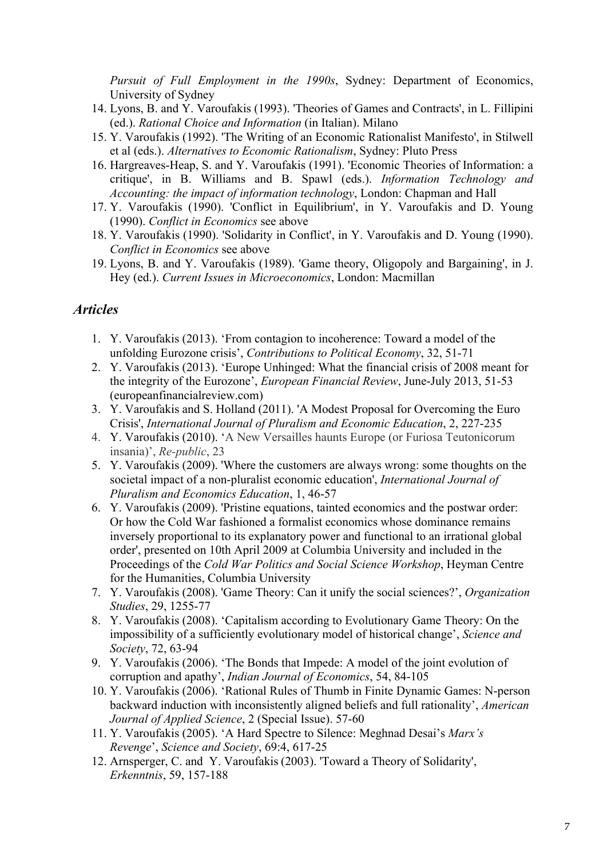*Pursuit of Full Employment in the 1990s*, Sydney: Department of Economics, University of Sydney

- 14. Lyons, B. and Y. Varoufakis (1993). 'Theories of Games and Contracts', in L. Fillipini (ed.). *Rational Choice and Information* (in Italian). Milano
- 15. Y. Varoufakis (1992). 'The Writing of an Economic Rationalist Manifesto', in Stilwell et al (eds.). *Alternatives to Economic Rationalism*, Sydney: Pluto Press
- 16. Hargreaves-Heap, S. and Y. Varoufakis (1991). 'Economic Theories of Information: a critique', in B. Williams and B. Spawl (eds.). *Information Technology and Accounting: the impact of information technology*, London: Chapman and Hall
- 17. Y. Varoufakis (1990). 'Conflict in Equilibrium', in Y. Varoufakis and D. Young (1990). *Conflict in Economics* see above
- 18. Y. Varoufakis (1990). 'Solidarity in Conflict', in Y. Varoufakis and D. Young (1990). *Conflict in Economics* see above
- 19. Lyons, B. and Y. Varoufakis (1989). 'Game theory, Oligopoly and Bargaining', in J. Hey (ed.). *Current Issues in Microeconomics*, London: Macmillan

### *Articles*

- 1. Y. Varoufakis (2013). 'From contagion to incoherence: Toward a model of the unfolding Eurozone crisis', *Contributions to Political Economy*, 32, 51-71
- 2. Y. Varoufakis (2013). 'Europe Unhinged: What the financial crisis of 2008 meant for the integrity of the Eurozone', *European Financial Review*, June-July 2013, 51-53 (europeanfinancialreview.com)
- 3. Y. Varoufakis and S. Holland (2011). 'A Modest Proposal for Overcoming the Euro Crisis', *International Journal of Pluralism and Economic Education*, 2, 227-235
- 4. Y. Varoufakis (2010). 'A New Versailles haunts Europe (or Furiosa Teutonicorum insania)', *Re-public*, 23
- 5. Y. Varoufakis (2009). 'Where the customers are always wrong: some thoughts on the societal impact of a non-pluralist economic education', *International Journal of Pluralism and Economics Education*, 1, 46-57
- 6. Y. Varoufakis (2009). 'Pristine equations, tainted economics and the postwar order: Or how the Cold War fashioned a formalist economics whose dominance remains inversely proportional to its explanatory power and functional to an irrational global order', presented on 10th April 2009 at Columbia University and included in the Proceedings of the *Cold War Politics and Social Science Workshop*, Heyman Centre for the Humanities, Columbia University
- 7. Y. Varoufakis (2008). 'Game Theory: Can it unify the social sciences?', *Organization Studies*, 29, 1255-77
- 8. Y. Varoufakis (2008). 'Capitalism according to Evolutionary Game Theory: On the impossibility of a sufficiently evolutionary model of historical change', *Science and Society*, 72, 63-94
- 9. Y. Varoufakis (2006). 'The Bonds that Impede: A model of the joint evolution of corruption and apathy', *Indian Journal of Economics*, 54, 84-105
- 10. Y. Varoufakis (2006). 'Rational Rules of Thumb in Finite Dynamic Games: N-person backward induction with inconsistently aligned beliefs and full rationality', *American Journal of Applied Science*, 2 (Special Issue). 57-60
- 11. Y. Varoufakis (2005). 'A Hard Spectre to Silence: Meghnad Desai's *Marx's Revenge*', *Science and Society*, 69:4, 617-25
- 12. Arnsperger, C. and Y. Varoufakis (2003). 'Toward a Theory of Solidarity', *Erkenntnis*, 59, 157-188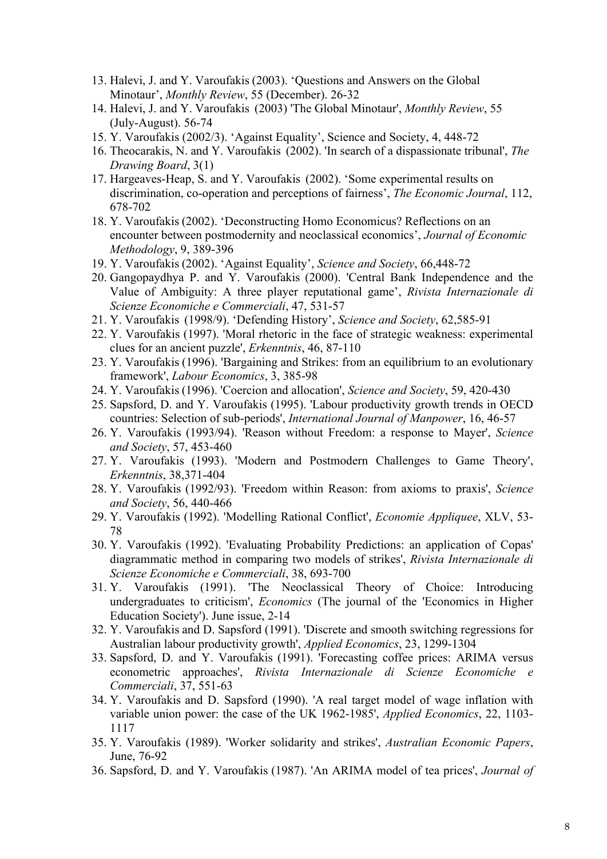- 13. Halevi, J. and Y. Varoufakis (2003). 'Questions and Answers on the Global Minotaur', *Monthly Review*, 55 (December). 26-32
- 14. Halevi, J. and Y. Varoufakis (2003) 'The Global Minotaur', *Monthly Review*, 55 (July-August). 56-74
- 15. Y. Varoufakis (2002/3). 'Against Equality', Science and Society, 4, 448-72
- 16. Theocarakis, N. and Y. Varoufakis (2002). 'In search of a dispassionate tribunal', *The Drawing Board*, 3(1)
- 17. Hargeaves-Heap, S. and Y. Varoufakis (2002). 'Some experimental results on discrimination, co-operation and perceptions of fairness', *The Economic Journal*, 112, 678-702
- 18. Y. Varoufakis (2002). 'Deconstructing Homo Economicus? Reflections on an encounter between postmodernity and neoclassical economics', *Journal of Economic Methodology*, 9, 389-396
- 19. Y. Varoufakis (2002). 'Against Equality', *Science and Society*, 66,448-72
- 20. Gangopaydhya P. and Y. Varoufakis (2000). 'Central Bank Independence and the Value of Ambiguity: A three player reputational game', *Rivista Internazionale di Scienze Economiche e Commerciali*, 47, 531-57
- 21. Y. Varoufakis (1998/9). 'Defending History', *Science and Society*, 62,585-91
- 22. Y. Varoufakis (1997). 'Moral rhetoric in the face of strategic weakness: experimental clues for an ancient puzzle', *Erkenntnis*, 46, 87-110
- 23. Y. Varoufakis (1996). 'Bargaining and Strikes: from an equilibrium to an evolutionary framework', *Labour Economics*, 3, 385-98
- 24. Y. Varoufakis (1996). 'Coercion and allocation', *Science and Society*, 59, 420-430
- 25. Sapsford, D. and Y. Varoufakis (1995). 'Labour productivity growth trends in OECD countries: Selection of sub-periods', *International Journal of Manpower*, 16, 46-57
- 26. Y. Varoufakis (1993/94). 'Reason without Freedom: a response to Mayer', *Science and Society*, 57, 453-460
- 27. Y. Varoufakis (1993). 'Modern and Postmodern Challenges to Game Theory', *Erkenntnis*, 38,371-404
- 28. Y. Varoufakis (1992/93). 'Freedom within Reason: from axioms to praxis', *Science and Society*, 56, 440-466
- 29. Y. Varoufakis (1992). 'Modelling Rational Conflict', *Economie Appliquee*, XLV, 53- 78
- 30. Y. Varoufakis (1992). 'Evaluating Probability Predictions: an application of Copas' diagrammatic method in comparing two models of strikes', *Rivista Internazionale di Scienze Economiche e Commerciali*, 38, 693-700
- 31. Y. Varoufakis (1991). 'The Neoclassical Theory of Choice: Introducing undergraduates to criticism', *Economics* (The journal of the 'Economics in Higher Education Society'). June issue, 2-14
- 32. Y. Varoufakis and D. Sapsford (1991). 'Discrete and smooth switching regressions for Australian labour productivity growth', *Applied Economics*, 23, 1299-1304
- 33. Sapsford, D. and Y. Varoufakis (1991). 'Forecasting coffee prices: ARIMA versus econometric approaches', *Rivista Internazionale di Scienze Economiche e Commerciali*, 37, 551-63
- 34. Y. Varoufakis and D. Sapsford (1990). 'A real target model of wage inflation with variable union power: the case of the UK 1962-1985', *Applied Economics*, 22, 1103- 1117
- 35. Y. Varoufakis (1989). 'Worker solidarity and strikes', *Australian Economic Papers*, June, 76-92
- 36. Sapsford, D. and Y. Varoufakis (1987). 'An ARIMA model of tea prices', *Journal of*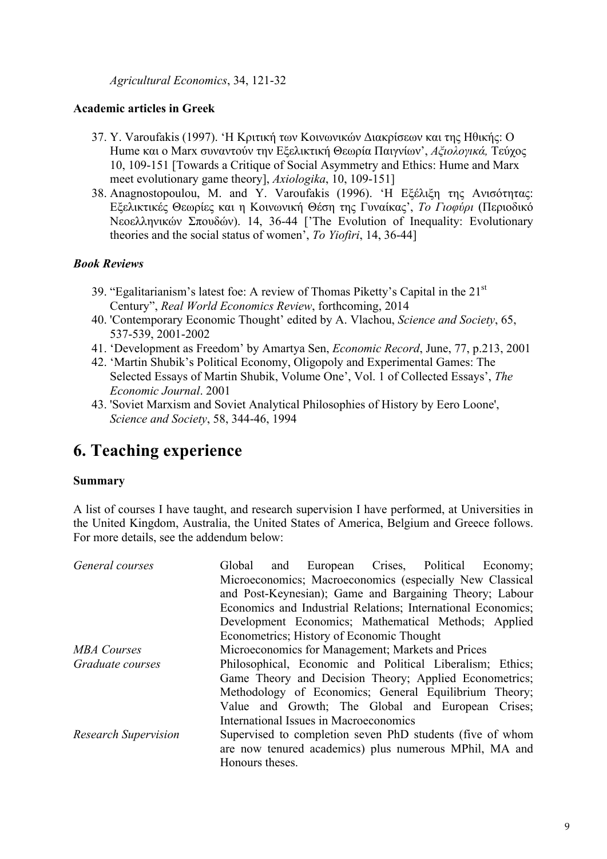*Agricultural Economics*, 34, 121-32

### **Academic articles in Greek**

- 37. Y. Varoufakis (1997). 'Η Κριτική των Κοινωνικών Διακρίσεων και της Ηθικής: Ο Hume και ο Marx συναντούν την Εξελικτική Θεωρία Παιγνίων', *Αξιολογικά,* Τεύχος 10, 109-151 [Towards a Critique of Social Asymmetry and Ethics: Hume and Marx meet evolutionary game theory], *Axiologika*, 10, 109-151]
- 38. Anagnostopoulou, M. and Y. Varoufakis (1996). 'Η Εξέλιξη της Ανισότητας: Εξελικτικές Θεωρίες και η Κοινωνική Θέση της Γυναίκας', *Το Γιοφύρι* (Περιοδικό Νεοελληνικών Σπουδών). 14, 36-44 ['The Evolution of Inequality: Evolutionary theories and the social status of women', *To Yiofiri*, 14, 36-44]

### *Book Reviews*

- 39. "Egalitarianism's latest foe: A review of Thomas Piketty's Capital in the 21st Century", *Real World Economics Review*, forthcoming, 2014
- 40. 'Contemporary Economic Thought' edited by A. Vlachou, *Science and Society*, 65, 537-539, 2001-2002
- 41. 'Development as Freedom' by Amartya Sen, *Economic Record*, June, 77, p.213, 2001
- 42. 'Martin Shubik's Political Economy, Oligopoly and Experimental Games: The Selected Essays of Martin Shubik, Volume One', Vol. 1 of Collected Essays', *The Economic Journal*. 2001
- 43. 'Soviet Marxism and Soviet Analytical Philosophies of History by Eero Loone', *Science and Society*, 58, 344-46, 1994

# **6. Teaching experience**

### **Summary**

A list of courses I have taught, and research supervision I have performed, at Universities in the United Kingdom, Australia, the United States of America, Belgium and Greece follows. For more details, see the addendum below:

| Microeconomics; Macroeconomics (especially New Classical     |  |                           |  |                                        |                                                                                                                                                                                                                                                                            |
|--------------------------------------------------------------|--|---------------------------|--|----------------------------------------|----------------------------------------------------------------------------------------------------------------------------------------------------------------------------------------------------------------------------------------------------------------------------|
| and Post-Keynesian); Game and Bargaining Theory; Labour      |  |                           |  |                                        |                                                                                                                                                                                                                                                                            |
| Economics and Industrial Relations; International Economics; |  |                           |  |                                        |                                                                                                                                                                                                                                                                            |
|                                                              |  |                           |  |                                        |                                                                                                                                                                                                                                                                            |
| Econometrics; History of Economic Thought                    |  |                           |  |                                        |                                                                                                                                                                                                                                                                            |
| Microeconomics for Management; Markets and Prices            |  |                           |  |                                        |                                                                                                                                                                                                                                                                            |
|                                                              |  |                           |  |                                        |                                                                                                                                                                                                                                                                            |
| Game Theory and Decision Theory; Applied Econometrics;       |  |                           |  |                                        |                                                                                                                                                                                                                                                                            |
|                                                              |  |                           |  |                                        |                                                                                                                                                                                                                                                                            |
|                                                              |  |                           |  |                                        |                                                                                                                                                                                                                                                                            |
|                                                              |  |                           |  |                                        |                                                                                                                                                                                                                                                                            |
| Supervised to completion seven PhD students (five of whom    |  |                           |  |                                        |                                                                                                                                                                                                                                                                            |
| are now tenured academics) plus numerous MPhil, MA and       |  |                           |  |                                        |                                                                                                                                                                                                                                                                            |
|                                                              |  |                           |  |                                        |                                                                                                                                                                                                                                                                            |
|                                                              |  | Global<br>Honours theses. |  | International Issues in Macroeconomics | and European Crises, Political Economy;<br>Development Economics; Mathematical Methods; Applied<br>Philosophical, Economic and Political Liberalism; Ethics;<br>Methodology of Economics; General Equilibrium Theory;<br>Value and Growth; The Global and European Crises; |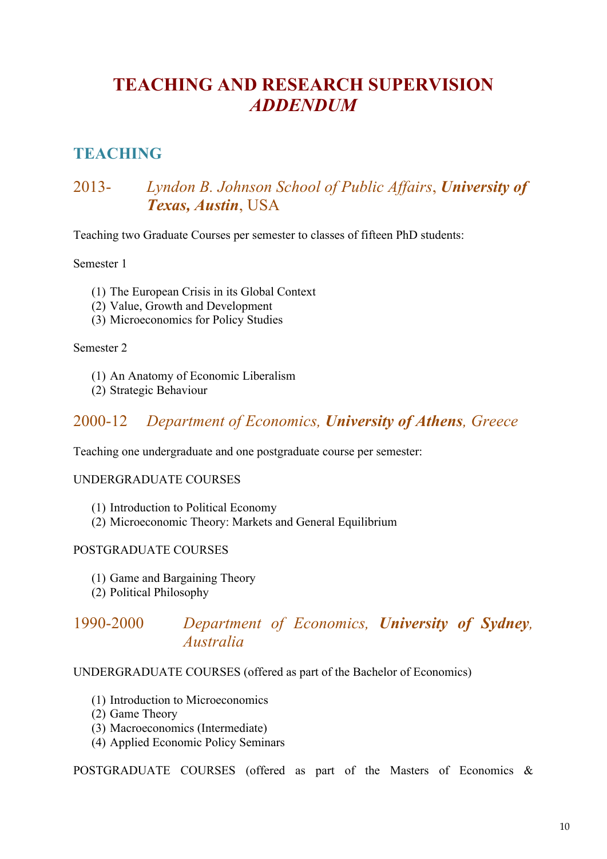# **TEACHING AND RESEARCH SUPERVISION**  *ADDENDUM*

## **TEACHING**

## 2013- *Lyndon B. Johnson School of Public Affairs*, *University of Texas, Austin*, USA

Teaching two Graduate Courses per semester to classes of fifteen PhD students:

Semester 1

- (1) The European Crisis in its Global Context
- (2) Value, Growth and Development
- (3) Microeconomics for Policy Studies

Semester 2

- (1) An Anatomy of Economic Liberalism
- (2) Strategic Behaviour

### 2000-12 *Department of Economics, University of Athens, Greece*

Teaching one undergraduate and one postgraduate course per semester:

#### UNDERGRADUATE COURSES

- (1) Introduction to Political Economy
- (2) Microeconomic Theory: Markets and General Equilibrium

#### POSTGRADUATE COURSES

- (1) Game and Bargaining Theory
- (2) Political Philosophy

### 1990-2000 *Department of Economics, University of Sydney, Australia*

#### UNDERGRADUATE COURSES (offered as part of the Bachelor of Economics)

- (1) Introduction to Microeconomics
- (2) Game Theory
- (3) Macroeconomics (Intermediate)
- (4) Applied Economic Policy Seminars

POSTGRADUATE COURSES (offered as part of the Masters of Economics &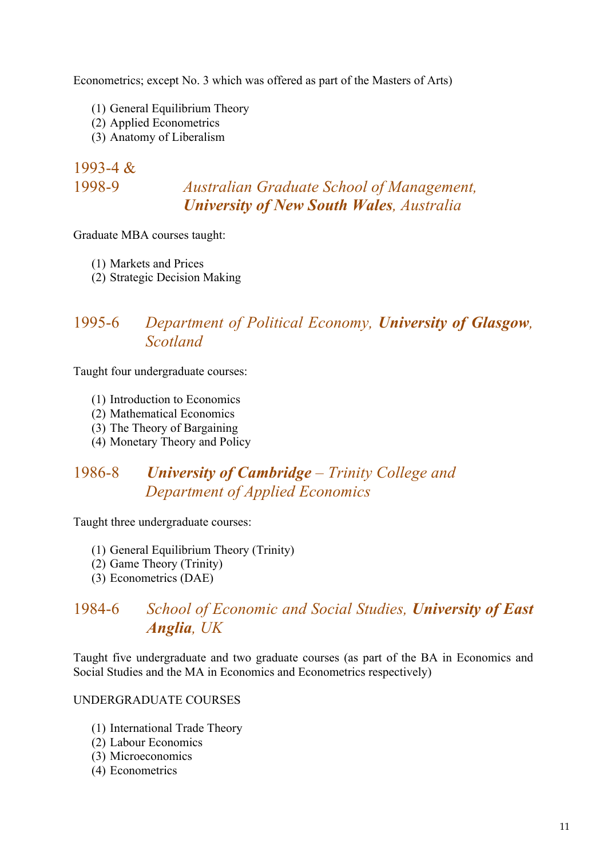Econometrics; except No. 3 which was offered as part of the Masters of Arts)

- (1) General Equilibrium Theory
- (2) Applied Econometrics
- (3) Anatomy of Liberalism

### 1993-4 & 1998-9 *Australian Graduate School of Management, University of New South Wales, Australia*

Graduate MBA courses taught:

- (1) Markets and Prices
- (2) Strategic Decision Making

### 1995-6 *Department of Political Economy, University of Glasgow, Scotland*

Taught four undergraduate courses:

- (1) Introduction to Economics
- (2) Mathematical Economics
- (3) The Theory of Bargaining
- (4) Monetary Theory and Policy

## 1986-8 *University of Cambridge – Trinity College and Department of Applied Economics*

Taught three undergraduate courses:

- (1) General Equilibrium Theory (Trinity)
- (2) Game Theory (Trinity)
- (3) Econometrics (DAE)

### 1984-6 *School of Economic and Social Studies, University of East Anglia, UK*

Taught five undergraduate and two graduate courses (as part of the BA in Economics and Social Studies and the MA in Economics and Econometrics respectively)

#### UNDERGRADUATE COURSES

- (1) International Trade Theory
- (2) Labour Economics
- (3) Microeconomics
- (4) Econometrics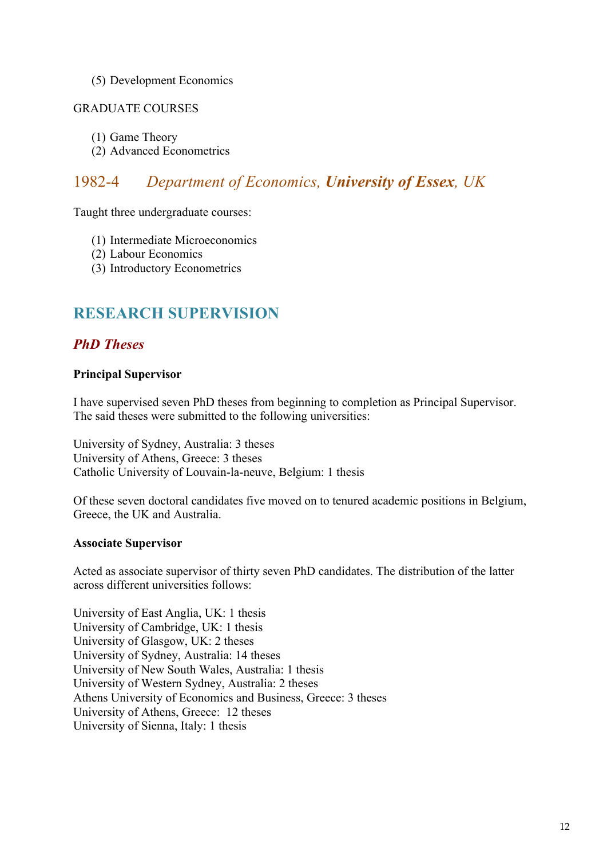#### (5) Development Economics

#### GRADUATE COURSES

- (1) Game Theory
- (2) Advanced Econometrics

## 1982-4 *Department of Economics, University of Essex, UK*

Taught three undergraduate courses:

- (1) Intermediate Microeconomics
- (2) Labour Economics
- (3) Introductory Econometrics

### **RESEARCH SUPERVISION**

### *PhD Theses*

#### **Principal Supervisor**

I have supervised seven PhD theses from beginning to completion as Principal Supervisor. The said theses were submitted to the following universities:

University of Sydney, Australia: 3 theses University of Athens, Greece: 3 theses Catholic University of Louvain-la-neuve, Belgium: 1 thesis

Of these seven doctoral candidates five moved on to tenured academic positions in Belgium, Greece, the UK and Australia.

#### **Associate Supervisor**

Acted as associate supervisor of thirty seven PhD candidates. The distribution of the latter across different universities follows:

University of East Anglia, UK: 1 thesis University of Cambridge, UK: 1 thesis University of Glasgow, UK: 2 theses University of Sydney, Australia: 14 theses University of New South Wales, Australia: 1 thesis University of Western Sydney, Australia: 2 theses Athens University of Economics and Business, Greece: 3 theses University of Athens, Greece: 12 theses University of Sienna, Italy: 1 thesis